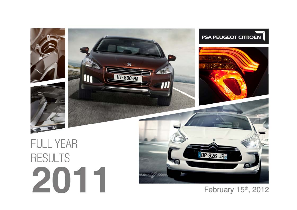

#### February 15th, 2012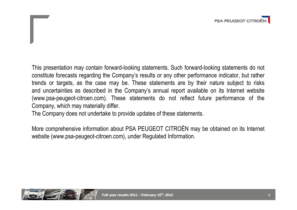

This presentation may contain forward-looking statements. Such forward-looking statements do not constitute forecasts regarding the Company's results or any other performance indicator, but rather trends or targets, as the case may be. These statements are by their nature subject to risks and uncertainties as described in the Company's annual report available on its Internet website (www.psa-peugeot-citroen.com). These statements do not reflect future performance of the Company, which may materially differ.

The Company does not undertake to provide updates of these statements.

More comprehensive information about PSA PEUGEOT CITROËN may be obtained on its Internet website (www.psa-peugeot-citroen.com), under Regulated Information.

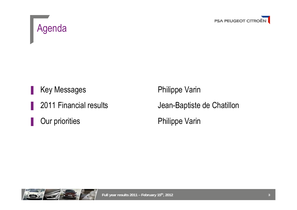



Key Messages Philippe Varin Our priorities **Philippe Varin** 

2011 Financial results Jean-Baptiste de Chatillon

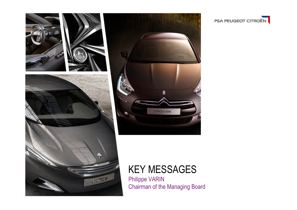

**PSA PEUGEOT CITROËN**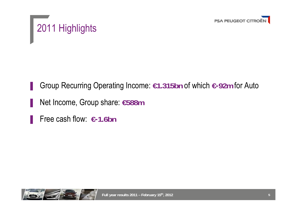



▐ Group Recurring Operating Income: **€1.315bn** of which **€-92m** for Auto

- ▐ Net Income, Group share: **€588m**
- ▐ Free cash flow: **€-1.6bn**

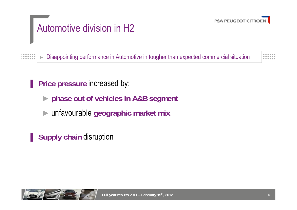

# Automotive division in H2

►Disappointing performance in Automotive in tougher than expected commercial situation

**Price pressure increased by:** 

- ►**phase out of vehicles in A&B segment**
- ►unfavourable **geographic market mix**

**Supply chain disruption** 



 $1.000000000$ *<u>BOODOOO</u>*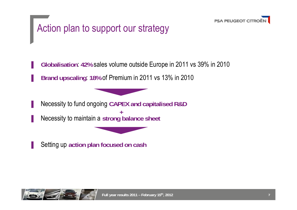

# Action plan to support our strategy

▐ **Globalisation**: **42%** sales volume outside Europe in 2011 vs 39% in 2010 ▐ **Brand upscaling**: **18%** of Premium in 2011 vs 13% in 2010

▐ Necessity to fund ongoing **CAPEX and capitalised R&D** ▐ Necessity to maintain <sup>a</sup>**strong balance sheet +**

▐ Setting up **action plan focused on cash**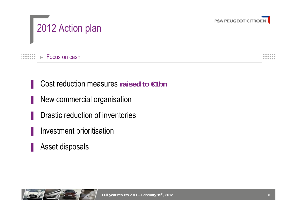



► Focus on cash $10000000$ . . . . . . .

Cost reduction measures raised to €1bn

- New commercial organisation
- Drastic reduction of inventories
- Investment prioritisation
- Asset disposals



......

......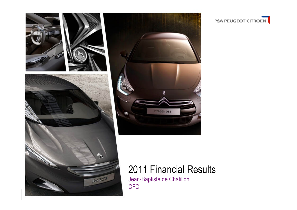

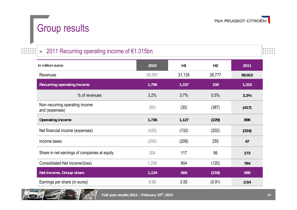

## Group results

 $\begin{array}{cccccccc} 0 & 0 & 0 & 0 & 0 & 0 & 0 \\ 0 & 0 & 0 & 0 & 0 & 0 & 0 \\ \end{array}$ 

.......

#### ►2011 Recurring operating income of €1.315bn

| In million euros                                 | 2010   | H1     | H <sub>2</sub> | 2011   |
|--------------------------------------------------|--------|--------|----------------|--------|
| <b>Revenues</b>                                  | 56,061 | 31,135 | 28,777         | 59,912 |
| Recurring operating income                       | 1,796  | 1,157  | 158            | 1,315  |
| % of revenues                                    | 3.2%   | 3.7%   | 0.5%           | 2.2%   |
| Non-recurring operating income<br>and (expenses) | (60)   | (30)   | (387)          | (417)  |
| Operating income                                 | 1,736  | 1,127  | (229)          | 898    |
| Net financial income (expenses)                  | (429)  | (132)  | (202)          | (334)  |
| Income taxes                                     | (255)  | (208)  | 255            | 47     |
| Share in net earnings of companies at equity     | 204    | 117    | 56             | 173    |
| Consolidated Net Income/(loss)                   | 1,256  | 904    | (120)          | 784    |
| Net Income, Group share                          | 1,134  | 806    | (218)          | 588    |

Earnings per share (in euros) 5.00 3.55 (0.91) **2.64**



**Full year results 2011 – February 15th, 2012**

 $| \cdot \cdot \cdot \cdot |$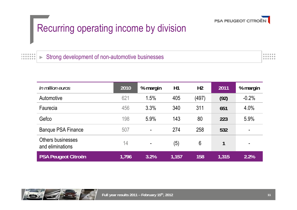

### Recurring operating income by division

 $10000000$  Strong development of non-automotive businesses► $1.0000000000$ 

| In million euros                             | 2010  | % margin       | H1    | H <sub>2</sub> | 2011         | % margin       |
|----------------------------------------------|-------|----------------|-------|----------------|--------------|----------------|
| Automotive                                   | 621   | 1.5%           | 405   | (497)          | (92)         | $-0.2%$        |
| Faurecia                                     | 456   | 3.3%           | 340   | 311            | 651          | 4.0%           |
| Gefco                                        | 198   | 5.9%           | 143   | 80             | 223          | 5.9%           |
| <b>Banque PSA Finance</b>                    | 507   | $\blacksquare$ | 274   | 258            | 532          | $\blacksquare$ |
| <b>Others businesses</b><br>and eliminations | 14    | ٠              | (5)   | 6              | $\mathbf{1}$ |                |
| <b>PSA Peugeot Citroën</b>                   | 1,796 | 3.2%           | 1,157 | 158            | 1,315        | 2.2%           |



 $0.0000000$  $0.00000000$ 

**AAAAA**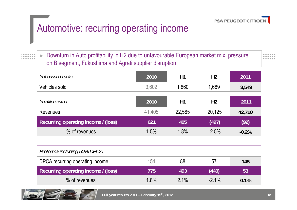

## Automotive: recurring operating income

► Downturn in Auto profitability in H2 due to unfavourable European market mix, pressure on B segment, Fukushima and Agrati supplier disruption

------

| In thousands units                  | 2010   | H1     | H <sub>2</sub> | 2011    |
|-------------------------------------|--------|--------|----------------|---------|
| Vehicles sold                       | 3,602  | 1,860  | 1,689          | 3,549   |
| In million euros                    | 2010   | H1     | H <sub>2</sub> | 2011    |
| <b>Revenues</b>                     | 41,405 | 22,585 | 20,125         | 42,710  |
| Recurring operating income / (loss) | 621    | 405    | (497)          | (92)    |
| % of revenues                       | 1.5%   | 1.8%   | $-2.5%$        | $-0.2%$ |
|                                     |        |        |                |         |
| Proforma including 50% DPCA         |        |        |                |         |
| DPCA recurring operating income     | 154    | 88     | 57             | 145     |
| Recurring operating income / (loss) | 775    | 493    | (440)          | 53      |
| % of revenues                       | 1.8%   | 2.1%   | $-2.1%$        | 0.1%    |



 $\begin{array}{cccccccccccccc} 1 & 0 & 0 & 0 & 0 & 0 & 0 & 0 \\ 1 & 0 & 0 & 0 & 0 & 0 & 0 & 0 \\ \end{array}$ 

 $-0.00000000$ 

**Full year results 2011 – February 15th, 2012**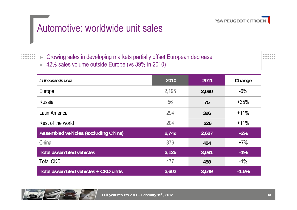

### Automotive: worldwide unit sales

► Growing sales in developing markets partially offset European decrease ► 42% sales volume outside Europe (vs 39% in 2010)

...... ......

| In thousands units                   | 2010  | 2011  | Change  |
|--------------------------------------|-------|-------|---------|
| Europe                               | 2,195 | 2,060 | $-6%$   |
| <b>Russia</b>                        | 56    | 75    | $+35%$  |
| Latin America                        | 294   | 326   | $+11%$  |
| Rest of the world                    | 204   | 226   | $+11%$  |
| Assembled vehicles (excluding China) | 2,749 | 2,687 | $-2\%$  |
| China                                | 376   | 404   | $+7%$   |
| <b>Total assembled vehicles</b>      | 3,125 | 3,091 | $-1\%$  |
| <b>Total CKD</b>                     | 477   | 458   | $-4\%$  |
| Total assembled vehicles + CKD units | 3,602 | 3,549 | $-1.5%$ |



 $10000000$ 

*<u>BOOD ADD</u>*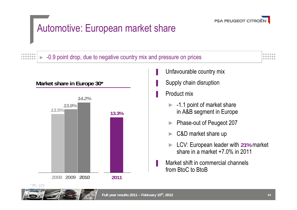

### Automotive: European market share

#### ►-0.9 point drop, due to negative country mix and pressure on prices



**Market share in Europe 30\***



- Unfavourable country mix
- Supply chain disruption

**Product mix** 

- ► -1.1 point of market share in A&B segment in Europe
- ►Phase-out of Peugeot 207
- ►C&D market share up
- ► LCV: European leader with **21%** market share in a market +7.0% in 2011
- Market shift in commercial channels from BtoC to BtoB

 $1.000000000$ 

 $1.0.0.0.0.0.0.$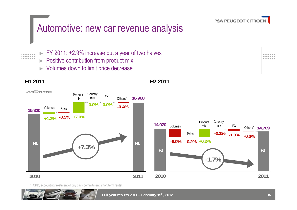

### Automotive: new car revenue analysis

 $1.000000000$  $10000000$  $1.000000000$ 

- ► FY 2011: +2.9% increase but a year of two halves
- ►Positive contribution from product mix
- ►Volumes down to limit price decrease

#### **H1 2011**



**H2 2011**

\* CKD, accounting treatment of buy back commitment, short term rental



......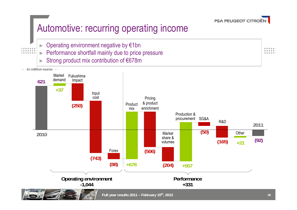

### Automotive: recurring operating income

►Operating environment negative by €1bn

 $\begin{array}{cccccccccccccc} 1 & 0 & 0 & 0 & 0 & 0 & 0 & 0 \\ 1 & 0 & 0 & 0 & 0 & 0 & 0 & 0 \\ \end{array}$ 

 $1.000000000$ 

- ►Performance shortfall mainly due to price pressure
- ►Strong product mix contribution of €678m

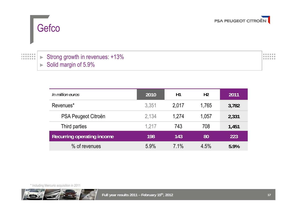



#### ► Strong growth in revenues: +13% ► Solid margin of 5.9%

| In million euros                  | 2010  | H1    | H <sub>2</sub> | 2011  |
|-----------------------------------|-------|-------|----------------|-------|
| Revenues*                         | 3,351 | 2,017 | 1,765          | 3,782 |
| PSA Peugeot Citroën               | 2,134 | 1,274 | 1,057          | 2,331 |
| Third parties                     | 1,217 | 743   | 708            | 1,451 |
| <b>Recurring operating income</b> | 198   | 143   | 80             | 223   |
| % of revenues                     | 5.9%  | 7.1%  | 4.5%           | 5.9%  |

\* Including Mercurio acquisition in 2011



 $............$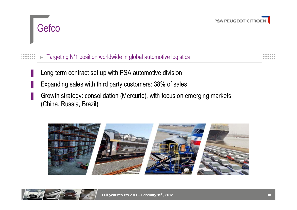



#### ►Targeting Nº1 position worldwide in global automotive logistics

- Long term contract set up with PSA automotive division
- Expanding sales with third party customers: 38% of sales
- Growth strategy: consolidation (Mercurio), with focus on emerging markets (China, Russia, Brazil)



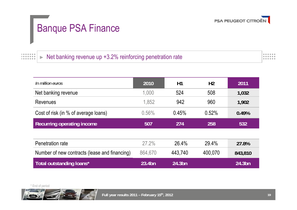

# Banque PSA Finance

 $\begin{array}{cccccccccccccc} 1 & 0 & 0 & 0 & 0 & 0 & 0 & 0 \\ 1 & 0 & 0 & 0 & 0 & 0 & 0 & 0 \\ \end{array}$  Net banking revenue up +3.2% reinforcing penetration rate ► $1.0000000000$ 

| In million euros                              | 2010    | H1      | H <sub>2</sub> | 2011      |  |
|-----------------------------------------------|---------|---------|----------------|-----------|--|
| Net banking revenue                           | 1,000   | 524     | 508            | 1,032     |  |
| Revenues                                      | 1,852   | 942     | 960            | 1,902     |  |
| Cost of risk (in % of average loans)          | 0.56%   | 0.45%   | 0.52%          | 0.49%     |  |
| <b>Recurring operating income</b>             | 507     | 274     | 258            | 532       |  |
|                                               |         |         |                |           |  |
| Penetration rate                              | 27.2%   | 26.4%   | 29.4%          | 27.8%     |  |
| Number of new contracts (lease and financing) | 864,670 | 443,740 | 400,070        | 843,810   |  |
| Total outstanding loans*                      | 23.4bn  | 24.3bn  |                | $24.3$ bn |  |



۳



 $0.0000000$ 

 $0.00000000$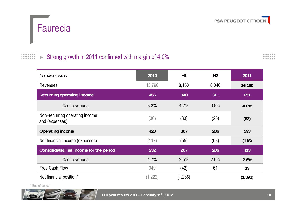



#### Strong growth in 2011 confirmed with margin of 4.0%►

|  |     | . |  |
|--|-----|---|--|
|  | . . |   |  |

| In million euros                                 | 2010     | H1      | H <sub>2</sub> | 2011     |
|--------------------------------------------------|----------|---------|----------------|----------|
| <b>Revenues</b>                                  | 13,796   | 8,150   | 8,040          | 16,190   |
| Recurring operating income                       | 456      | 340     | 311            | 651      |
| % of revenues                                    | 3.3%     | 4.2%    | 3.9%           | 4.0%     |
| Non-recurring operating income<br>and (expenses) | (36)     | (33)    | (25)           | (58)     |
| <b>Operating income</b>                          | 420      | 307     | 286            | 593      |
| Net financial income (expenses)                  | (117)    | (55)    | (63)           | (118)    |
| Consolidated net income for the period           | 232      | 207     | 206            | 413      |
| % of revenues                                    | 1.7%     | 2.5%    | 2.6%           | 2.6%     |
| <b>Free Cash Flow</b>                            | 349      | (42)    | 61             | 19       |
| Net financial position*                          | (1, 222) | (1,286) |                | (1, 391) |

\* End of period

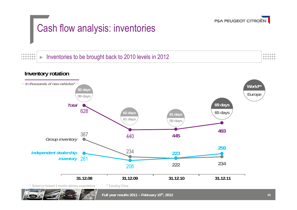

# Cash flow analysis: inventories

 Inventories to be brought back to 2010 levels in 2012 $1.0.0.0.0.0.0.$ ►*<u>BARRAR</u>* 



......

 $0.0000000$ 

......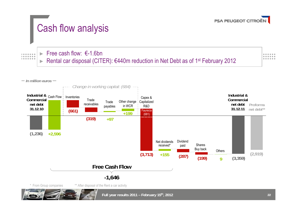

## Cash flow analysis

 $\begin{array}{cccccccccccccc} 1 & 0 & 0 & 0 & 0 & 0 & 0 & 0 \\ 1 & 0 & 0 & 0 & 0 & 0 & 0 & 0 \\ \end{array}$  $1.000000000$ 

 $\blacktriangleright$  Free cash flow:  $\epsilon$ -1.6bn ►Rental car disposal (CITER): €440m reduction in Net Debt as of 1<sup>st</sup> February 2012



**Industrial & Cash Flow Inventories (1,236) +2,596 Industrial &Commercial net debt Proforma 31.12.11 net debt\*\* -1,646 (661)**  $(319) +97$ **+199**  $(3,713)$  +155  $(287)$   $(199)$  9  $(3,359)$ **Trade** receivables Trade payables Other change in WCR Capitalized Capex & R&DNet dividends received\*Dividendpaid **Free Cash FlowCommercial net debt31.12.10** Shares Buy back Others **(199) 9**\* From Group companies Faurecia (681) **(2,919)** \*\* After disposal of the Rent a car activity *Change in working capital: (684) In million euros*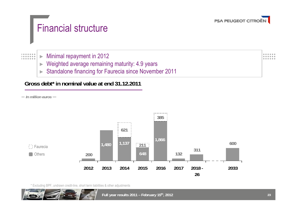

### Financial structure

 $\begin{array}{cccccccccccccc} 1 & 0 & 0 & 0 & 0 & 0 & 0 & 0 \\ 1 & 0 & 0 & 0 & 0 & 0 & 0 & 0 \\ \end{array}$  Minimal repayment in 2012 ►*<u>BOOD ADD</u>* 

- ►Weighted average remaining maturity: 4.9 years
- ►Standalone financing for Faurecia since November 2011

#### **Gross debt\* in nominal value at end 31.12.2011**

*In million euros*



\* Excluding BPF, undrawn credit-line, short term liabilities & other adjustments

...... ......

 $-0.0000$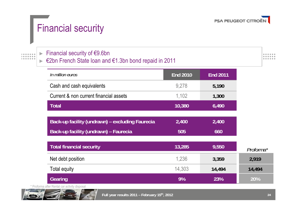

### Financial security

#### ► Financial security of €9.6bn

#### ► €2bn French State loan and €1.3bn bond repaid in 2011

......  $0.0000000$  $0.00000000$ 

| In million euros                                | <b>End 2010</b> | <b>End 2011</b> |
|-------------------------------------------------|-----------------|-----------------|
| Cash and cash equivalents                       | 9,278           | 5,190           |
| Current & non current financial assets          | 1,102           | 1,300           |
| <b>Total</b>                                    | 10,380          | 6,490           |
| Back-up facility (undrawn) – excluding Faurecia | 2,400           | 2,400           |
| Back-up facility (undrawn) - Faurecia           | 505             | 660             |
| <b>Total financial security</b>                 | 13,285          | 9,550           |
| Net debt position                               | 1,236           | 3,359           |
| <b>Total equity</b>                             | 14,303          | 14,494          |
| Gearing                                         | 9%              | 23%             |

\* Proforma after Rental car activity disposal

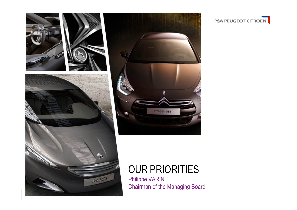

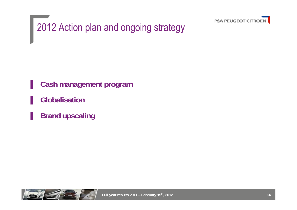

2012 Action plan and ongoing strategy

**Cash management program** 

▐ **Globalisation**

**Brand upscaling** 

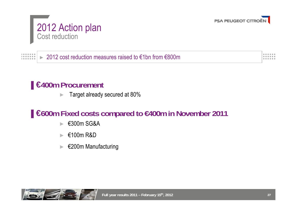

#### 2012 Action plan Cost reduction

#### 2012 cost reduction measures raised to €1bn from €800m  $10000000$ ►. . . . . . .

#### **E**<del>400m</del> Procurement

►Target already secured at 80%

#### ▐**€600m Fixed costs compared to €400m in November 2011**

- ► €300m SG&A
- ► €100m R&D
- ► €200m Manufacturing



......

......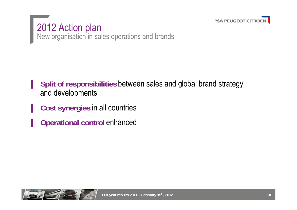

2012 Action plan New organisation in sales operations and brands

- **Split of responsibilities between sales and global brand strategy** and developments
- **Cost synergies in all countries**
- **Operational control enhanced**

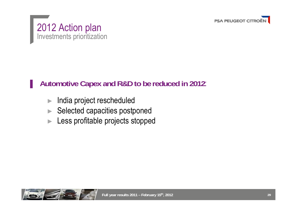



#### ▐ **Automotive Capex and R&D to be reduced in 2012**:

- ►India project rescheduled
- ►Selected capacities postponed
- ►Less profitable projects stopped

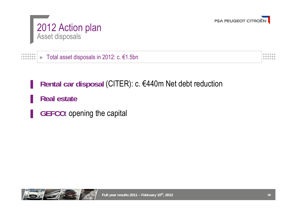

### 2012 Action plan Asset disposals

 $\begin{array}{cccccccccc} 1 & 0 & 0 & 0 & 0 & 0 & 0 \\ 1 & 0 & 0 & 0 & 0 & 0 & 0 \\ \end{array}$  Total asset disposals in 2012: c. €1.5bn► $1.000000000$ 

Rental car disposal (CITER): c. €440m Net debt reduction

▐ **Real estate**

**GEFCO**: opening the capital



 $0.0000000$  $0.00000000$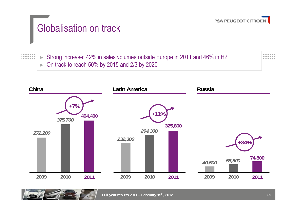

# Globalisation on track

 $\begin{array}{cccccccccccccc} 1 & 0 & 0 & 0 & 0 & 0 & 0 & 0 \\ 1 & 0 & 0 & 0 & 0 & 0 & 0 & 0 \\ \end{array}$ 

 $1.000000000$ 

► Strong increase: 42% in sales volumes outside Europe in 2011 and 46% in H2 ►On track to reach 50% by 2015 and 2/3 by 2020



...... ......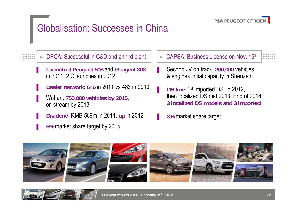

### Globalisation: Successes in China

►DPCA: Successful in C&D and a third plant

- ▐ **Launch of Peugeot 508** and **Peugeot 308** in 2011, 2 C launches in 2012
- ▐ **Dealer network: 646** in 2011 vs 483 in 2010
- ▐ Wuhan: **750,000 vehicles by 2015,** on stream by 2013
- ▐ **Dividend**: RMB 589m in 2011, **up** in 2012
- ▐ **5%** market share target by 2015
- ►CAPSA: Business License on Nov. 16th
- ▐ Second JV on track, **200,000** vehicles & engines initial capacity in Shenzen
- **DS line: 1st imported DS in 2012,** then localized DS mid 2013. End of 2014:**3 localized DS models and 3 imported**
- ▐ **3%** market share target



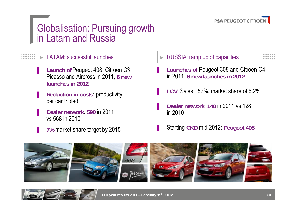

### Globalisation: Pursuing growth in Latam and Russia

#### ►

. . . . . . . . . . . . .

- **Launch of Peugeot 408, Citroen C3** Picasso and Aircross in 2011, **6 new launches in 2012**
- **Reduction in costs: productivity** per car tripled
- PEUGEOT 508<br>PEUGEOT 508<br>PEUGEOT 508<br>PEUGEOT 508 ▐ **Dealer network**: **590** in 2011 vs 568 in 2010
- **7% market share target by 2015**
- LATAM: successful launches  $\parallel$  RUSSIA: ramp up of capacities
	- **Launches of Peugeot 308 and Citroën C4** in 2011, **6 new launches in 2012**
	- ▐ **LCV**: Sales +52%, market share of 6.2%
	- ▐ **Dealer network**: **<sup>140</sup>** in 2011 vs 128 in 2010
	- ▐ Starting **CKD** mid-2012: **Peugeot 408**



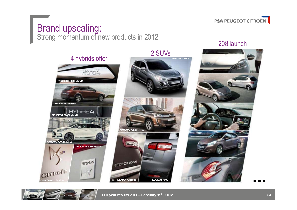

#### Brand upscaling: Strong momentum of new products in 2012



208 launch



**Full year results 2011 – February 15th, 2012**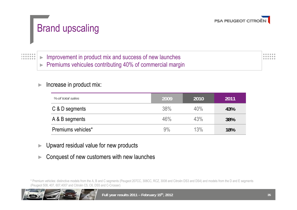

# Brand upscaling

 $1.0000000000$ 

 $10000000$ 

► Improvement in product mix and success of new launches ►Premiums vehicules contributing 40% of commercial margin

#### ►Increase in product mix:

| % of total sales   | 2009 | 2010 | 2011 |
|--------------------|------|------|------|
| C & D segments     | 38%  | 40%  | 43%  |
| A & B segments     | 46%  | 43%  | 38%  |
| Premiums vehicles* | 9%   | 13%  | 18%  |

- ►Upward residual value for new products
- ►Conquest of new customers with new launches

\* Premium vehicles: distinctive models from the A, B and C segments (Peugeot 207CC, 308CC, RCZ, 3008 and Citroën DS3 and DS4) and models from the D and E segments (Peugeot 508, 407, 607,4007 and Citroën C5, C6, DS5 and C-Crosser)



......

**AAAAA**A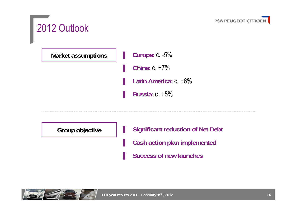

### 2012 Outlook

**Market assumptions**

▐ **Europe:** c. -5%

▐ **China:** c. +7%

Latin America: c. +6%

▐ **Russia:** c. +5%

**Group objective**

**Significant reduction of Net Debt** 

**Cash action plan implemented** 

**Success of new launches** 

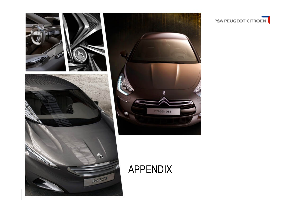



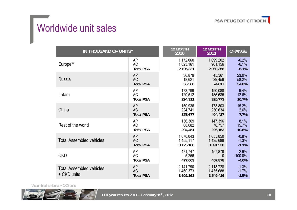

## Worldwide unit sales

| IN THOUSAND OF UNITS*                          |                                            | <b>12 MONTH</b><br>2010             | <b>12 MONTH</b><br>2011             | <b>CHANGE</b>                 |
|------------------------------------------------|--------------------------------------------|-------------------------------------|-------------------------------------|-------------------------------|
| Europe**                                       | AP                                         | 1,172,060                           | 1,099,202                           | $-6.2%$                       |
|                                                | <b>AC</b>                                  | 1,023,161                           | 961,156                             | $-6.1%$                       |
|                                                | <b>Total PSA</b>                           | 2,195,221                           | 2,060,358                           | $-6.1%$                       |
| Russia                                         | <b>AP</b>                                  | 36,879                              | 45,361                              | 23.0%                         |
|                                                | <b>AC</b>                                  | 18,621                              | 29,456                              | 58.2%                         |
|                                                | <b>Total PSA</b>                           | 55,500                              | 74,817                              | 34.8%                         |
| Latam                                          | AP                                         | 173,799                             | 190,088                             | 9.4%                          |
|                                                | <b>AC</b>                                  | 120,512                             | 135,685                             | 12.6%                         |
|                                                | <b>Total PSA</b>                           | 294,311                             | 325,773                             | 10.7%                         |
| China                                          | <b>AP</b>                                  | 150,936                             | 173,803                             | 15.2%                         |
|                                                | <b>AC</b>                                  | 224,741                             | 230,634                             | 2.6%                          |
|                                                | <b>Total PSA</b>                           | 375,677                             | 404,437                             | 7.7%                          |
| Rest of the world                              | AP                                         | 136,369                             | 147,396                             | 8.1%                          |
|                                                | <b>AC</b>                                  | 68,082                              | 78,757                              | 15.7%                         |
|                                                | <b>Total PSA</b>                           | 204,451                             | 226,153                             | 10.6%                         |
| <b>Total Assembled vehicles</b>                | <b>AP</b>                                  | 1,670,043                           | 1,655,850                           | $-0.8%$                       |
|                                                | <b>AC</b>                                  | 1,455,117                           | 1,435,688                           | $-1.3%$                       |
|                                                | <b>Total PSA</b>                           | 3,125,160                           | 3,091,538                           | $-1.1%$                       |
| <b>CKD</b>                                     | AP                                         | 471,747                             | 457,878                             | $-2.9%$                       |
|                                                | <b>AC</b>                                  | 5,256                               | $\theta$                            | $-100.0\%$                    |
|                                                | <b>Total PSA</b>                           | 477,003                             | 457,878                             | $-4.0%$                       |
| <b>Total Assembled vehicles</b><br>+ CKD units | <b>AP</b><br><b>AC</b><br><b>Total PSA</b> | 2,141,790<br>1,460,373<br>3,602,163 | 2,113,728<br>1,435,688<br>3,549,416 | $-1.3%$<br>$-1.7%$<br>$-1.5%$ |

\*Assembled vehicules + CKD units

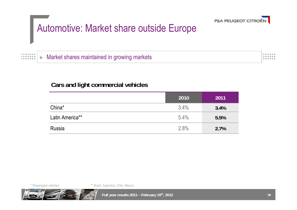

### Automotive: Market share outside Europe

►Market shares maintained in growing markets  $0.00000000$  $0.0000000$ *<u>AAAAA</u>* 

#### **Cars and light commercial vehicles**

|                 | 2010 | 2011 |
|-----------------|------|------|
| China*          | 3.4% | 3.4% |
| Latin America** | 5.4% | 5.5% |
| Russia          | 2.8% | 2.7% |

 $\begin{array}{cccccccccccccc} 1 & 0 & 0 & 0 & 0 & 0 & 0 & 0 \\ 1 & 0 & 0 & 0 & 0 & 0 & 0 & 0 \\ \end{array}$ 

 $1.00000000000$ 

\* Passengers vehicles \*\* Brazil, Argentina, Chile, Mexico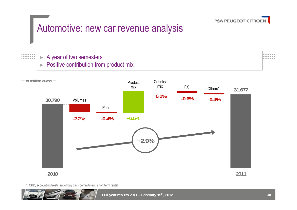

### Automotive: new car revenue analysis

#### $\begin{array}{cccccccccccccc} 1 & 0 & 0 & 0 & 0 & 0 & 0 & 0 \\ 1 & 0 & 0 & 0 & 0 & 0 & 0 & 0 \\ \end{array}$ *<u>BARRAS</u>*

►

►

#### A year of two semesters Positive contribution from product mix



\* CKD, accounting treatment of buy back commitment, short term rental

...... ------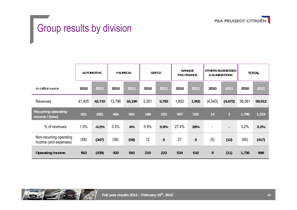

# **Group results by division**

|                                                  | <b>AUTOMOTIVE</b> |         |        | <b>FAURECIA</b> |       | <b>GEFCO</b> |       | <b>BANQUE</b><br><b>PSA FINANCE</b> |          | <b>OTHERS BUSINESSES</b><br>& ELIMINATIONS |        | <b>TOTAL</b> |  |
|--------------------------------------------------|-------------------|---------|--------|-----------------|-------|--------------|-------|-------------------------------------|----------|--------------------------------------------|--------|--------------|--|
| In million euros                                 | 2010              | 2011    | 2010   | 2011            | 2010  | 2011         | 2010  | 2011                                | 2010     | 2011                                       | 2010   | 2011         |  |
| Revenues                                         | 41,405            | 42,710  | 13,796 | 16,190          | 3,351 | 3,782        | 1,852 | 1,902                               | (4, 343) | (4,672)                                    | 56,061 | 59,912       |  |
| <b>Recurring operating</b><br>income / (loss)    | 621               | (92)    | 456    | 651             | 198   | 223          | 507   | 532                                 | 14       | $\mathbf{1}$                               | 1,796  | 1,315        |  |
| % of revenues                                    | 1.5%              | $-0.2%$ | 3.3%   | 4%              | 5.9%  | 5.9%         | 27.4% | 28%                                 |          | $\blacksquare$                             | 3.2%   | 2.2%         |  |
| Non-recurring operating<br>income (and expenses) | (58)              | (347)   | (36)   | (58)            | 12    | $\bf{0}$     | 27    | $\bf{0}$                            | (5)      | (12)                                       | (60)   | (417)        |  |
| Operating income                                 | 563               | (439)   | 420    | 593             | 210   | 223          | 534   | 532                                 | 9        | (11)                                       | 1,736  | 898          |  |

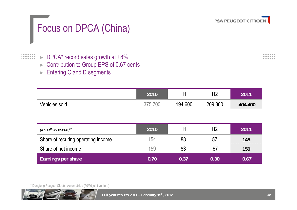

# Focus on DPCA (China)

#### ► DPCA\* record sales growth at +8% ►Contribution to Group EPS of 0.67 cents

►Entering C and D segments

|               | 2010       | $H^4$   | H <sub>2</sub> | 2011    |
|---------------|------------|---------|----------------|---------|
| Vehicles sold | 700<br>275 | 194,600 | 209,800        | 404,400 |

| (in million euros) $*$             | 2010 |    | 2011 |
|------------------------------------|------|----|------|
| Share of recuring operating income | 154  | 88 | 145  |
| Share of net income                | 159  |    | Ibli |
| <b>Earnings per share</b>          |      |    |      |

\* Dongfeng Peugeot Citroën Automobiles (50/50 joint venture)



 $0.0000000$  $0.00000000$ . . . . . .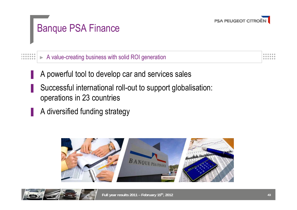

# Banque PSA Finance

 A value-creating business with solid ROI generation*<u>BOODOOO</u>* ►

- A powerful tool to develop car and services sales
- Successful international roll-out to support globalisation: operations in 23 countries
	- A diversified funding strategy

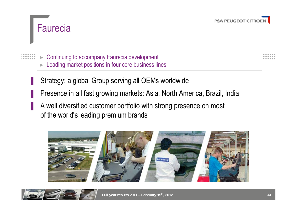



► Continuing to accompany Faurecia development ►Leading market positions in four core business lines

Strategy: a global Group serving all OEMs worldwide

Presence in all fast growing markets: Asia, North America, Brazil, India

A well diversified customer portfolio with strong presence on most of the world's leading premium brands



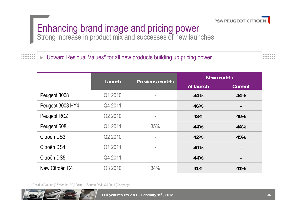

# Enhancing brand image and pricing power

Strong increase in product mix and successes of new launches

►Upward Residual Values\* for all new products building up pricing power

 $0.0000000$  $0.00000000$ .....

|                  | Launch  | <b>Previous models</b> | <b>New models</b> |                |  |  |
|------------------|---------|------------------------|-------------------|----------------|--|--|
|                  |         |                        | At launch         | <b>Current</b> |  |  |
| Peugeot 3008     | Q1 2010 | ٠                      | 44%               | 44%            |  |  |
| Peugeot 3008 HY4 | Q4 2011 | $\blacksquare$         | 46%               |                |  |  |
| Peugeot RCZ      | Q2 2010 | ۰                      | 43%               | 46%            |  |  |
| Peugeot 508      | Q1 2011 | 35%                    | 44%               | 44%            |  |  |
| Citroën DS3      | Q2 2010 | ۰                      | 42%               | 45%            |  |  |
| Citroën DS4      | Q1 2011 | ٠                      | 40%               | $\blacksquare$ |  |  |
| Citroën DS5      | Q4 2011 | ۰                      | 44%               |                |  |  |
| New Citroën C4   | Q3 2010 | 34%                    | 41%               | 41%            |  |  |

\* Residual Values (36 months, 90,000km) – Source DAT, Q4 2011 (Germany)



 $\begin{array}{cccccccccccccc} 1 & 0 & 0 & 0 & 0 & 0 & 0 & 0 \\ 1 & 0 & 0 & 0 & 0 & 0 & 0 & 0 \\ \end{array}$ 

 $1.000000000$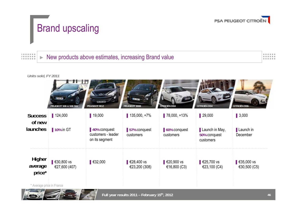

......

......

# Brand upscaling

#### $1.0000000000$  New products above estimates, increasing Brand value  $1.0.0.0.0.0.0.$ ►*<u>BOODOOO</u>*

#### *Units sold, FY 2011*